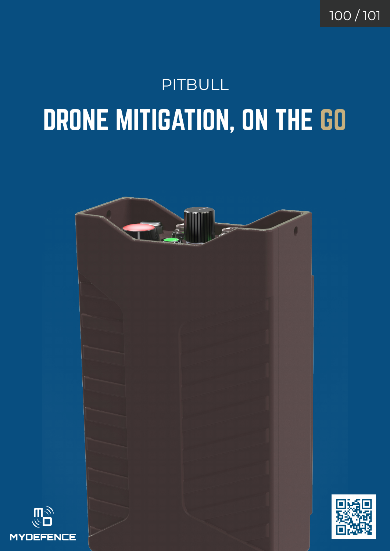100 / 101

## DRONE MITIGATION, ON THE GO PITBULL